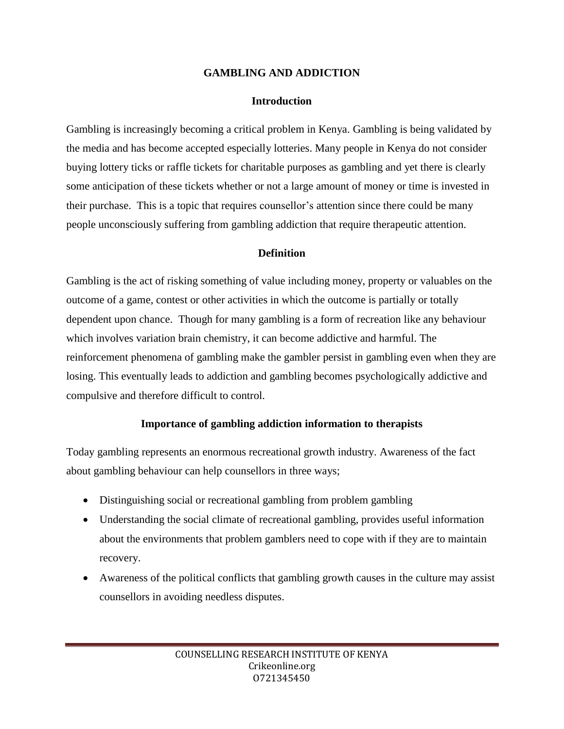### **GAMBLING AND ADDICTION**

### **Introduction**

Gambling is increasingly becoming a critical problem in Kenya. Gambling is being validated by the media and has become accepted especially lotteries. Many people in Kenya do not consider buying lottery ticks or raffle tickets for charitable purposes as gambling and yet there is clearly some anticipation of these tickets whether or not a large amount of money or time is invested in their purchase. This is a topic that requires counsellor's attention since there could be many people unconsciously suffering from gambling addiction that require therapeutic attention.

### **Definition**

Gambling is the act of risking something of value including money, property or valuables on the outcome of a game, contest or other activities in which the outcome is partially or totally dependent upon chance. Though for many gambling is a form of recreation like any behaviour which involves variation brain chemistry, it can become addictive and harmful. The reinforcement phenomena of gambling make the gambler persist in gambling even when they are losing. This eventually leads to addiction and gambling becomes psychologically addictive and compulsive and therefore difficult to control.

### **Importance of gambling addiction information to therapists**

Today gambling represents an enormous recreational growth industry. Awareness of the fact about gambling behaviour can help counsellors in three ways;

- Distinguishing social or recreational gambling from problem gambling
- Understanding the social climate of recreational gambling, provides useful information about the environments that problem gamblers need to cope with if they are to maintain recovery.
- Awareness of the political conflicts that gambling growth causes in the culture may assist counsellors in avoiding needless disputes.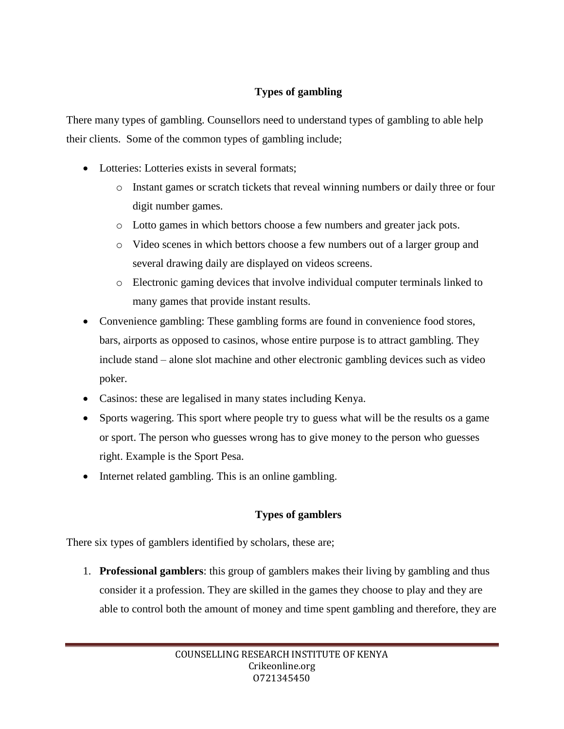### **Types of gambling**

There many types of gambling. Counsellors need to understand types of gambling to able help their clients. Some of the common types of gambling include;

- Lotteries: Lotteries exists in several formats:
	- o Instant games or scratch tickets that reveal winning numbers or daily three or four digit number games.
	- o Lotto games in which bettors choose a few numbers and greater jack pots.
	- o Video scenes in which bettors choose a few numbers out of a larger group and several drawing daily are displayed on videos screens.
	- o Electronic gaming devices that involve individual computer terminals linked to many games that provide instant results.
- Convenience gambling: These gambling forms are found in convenience food stores, bars, airports as opposed to casinos, whose entire purpose is to attract gambling. They include stand – alone slot machine and other electronic gambling devices such as video poker.
- Casinos: these are legalised in many states including Kenya.
- Sports wagering. This sport where people try to guess what will be the results os a game or sport. The person who guesses wrong has to give money to the person who guesses right. Example is the Sport Pesa.
- Internet related gambling. This is an online gambling.

# **Types of gamblers**

There six types of gamblers identified by scholars, these are;

1. **Professional gamblers**: this group of gamblers makes their living by gambling and thus consider it a profession. They are skilled in the games they choose to play and they are able to control both the amount of money and time spent gambling and therefore, they are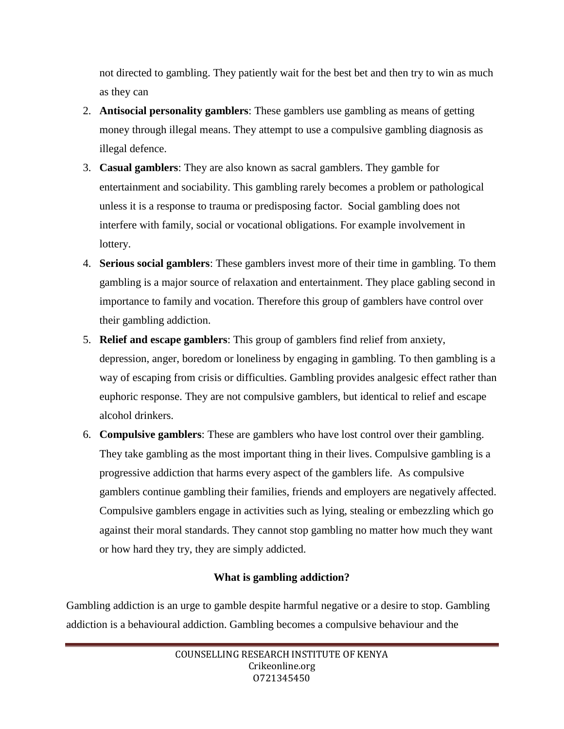not directed to gambling. They patiently wait for the best bet and then try to win as much as they can

- 2. **Antisocial personality gamblers**: These gamblers use gambling as means of getting money through illegal means. They attempt to use a compulsive gambling diagnosis as illegal defence.
- 3. **Casual gamblers**: They are also known as sacral gamblers. They gamble for entertainment and sociability. This gambling rarely becomes a problem or pathological unless it is a response to trauma or predisposing factor. Social gambling does not interfere with family, social or vocational obligations. For example involvement in lottery.
- 4. **Serious social gamblers**: These gamblers invest more of their time in gambling. To them gambling is a major source of relaxation and entertainment. They place gabling second in importance to family and vocation. Therefore this group of gamblers have control over their gambling addiction.
- 5. **Relief and escape gamblers**: This group of gamblers find relief from anxiety, depression, anger, boredom or loneliness by engaging in gambling. To then gambling is a way of escaping from crisis or difficulties. Gambling provides analgesic effect rather than euphoric response. They are not compulsive gamblers, but identical to relief and escape alcohol drinkers.
- 6. **Compulsive gamblers**: These are gamblers who have lost control over their gambling. They take gambling as the most important thing in their lives. Compulsive gambling is a progressive addiction that harms every aspect of the gamblers life. As compulsive gamblers continue gambling their families, friends and employers are negatively affected. Compulsive gamblers engage in activities such as lying, stealing or embezzling which go against their moral standards. They cannot stop gambling no matter how much they want or how hard they try, they are simply addicted.

# **What is gambling addiction?**

Gambling addiction is an urge to gamble despite harmful negative or a desire to stop. Gambling addiction is a behavioural addiction. Gambling becomes a compulsive behaviour and the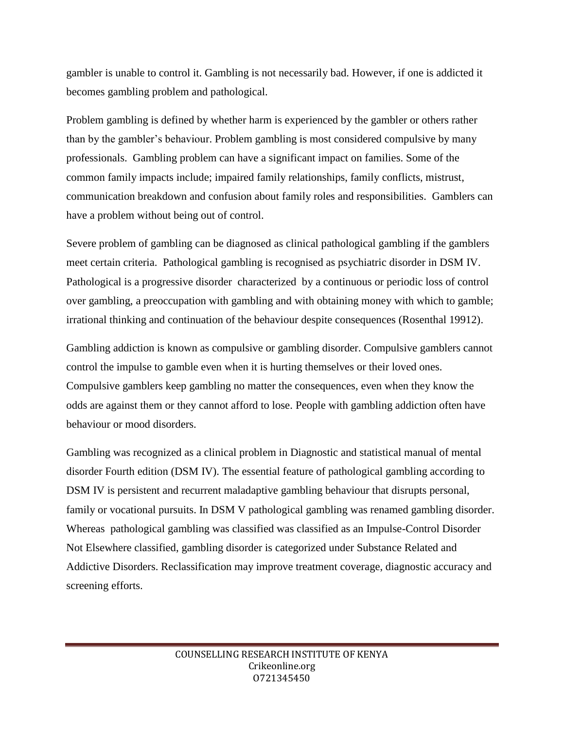gambler is unable to control it. Gambling is not necessarily bad. However, if one is addicted it becomes gambling problem and pathological.

Problem gambling is defined by whether harm is experienced by the gambler or others rather than by the gambler's behaviour. Problem gambling is most considered compulsive by many professionals. Gambling problem can have a significant impact on families. Some of the common family impacts include; impaired family relationships, family conflicts, mistrust, communication breakdown and confusion about family roles and responsibilities. Gamblers can have a problem without being out of control.

Severe problem of gambling can be diagnosed as clinical pathological gambling if the gamblers meet certain criteria. Pathological gambling is recognised as psychiatric disorder in DSM IV. Pathological is a progressive disorder characterized by a continuous or periodic loss of control over gambling, a preoccupation with gambling and with obtaining money with which to gamble; irrational thinking and continuation of the behaviour despite consequences (Rosenthal 19912).

Gambling addiction is known as compulsive or gambling disorder. Compulsive gamblers cannot control the impulse to gamble even when it is hurting themselves or their loved ones. Compulsive gamblers keep gambling no matter the consequences, even when they know the odds are against them or they cannot afford to lose. People with gambling addiction often have behaviour or mood disorders.

Gambling was recognized as a clinical problem in Diagnostic and statistical manual of mental disorder Fourth edition (DSM IV). The essential feature of pathological gambling according to DSM IV is persistent and recurrent maladaptive gambling behaviour that disrupts personal, family or vocational pursuits. In DSM V pathological gambling was renamed gambling disorder. Whereas pathological gambling was classified was classified as an Impulse-Control Disorder Not Elsewhere classified, gambling disorder is categorized under Substance Related and Addictive Disorders. Reclassification may improve treatment coverage, diagnostic accuracy and screening efforts.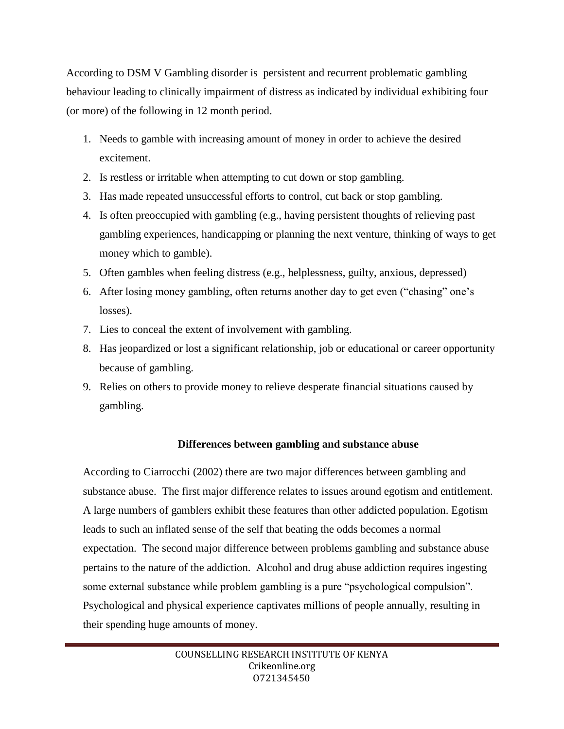According to DSM V Gambling disorder is persistent and recurrent problematic gambling behaviour leading to clinically impairment of distress as indicated by individual exhibiting four (or more) of the following in 12 month period.

- 1. Needs to gamble with increasing amount of money in order to achieve the desired excitement.
- 2. Is restless or irritable when attempting to cut down or stop gambling.
- 3. Has made repeated unsuccessful efforts to control, cut back or stop gambling.
- 4. Is often preoccupied with gambling (e.g., having persistent thoughts of relieving past gambling experiences, handicapping or planning the next venture, thinking of ways to get money which to gamble).
- 5. Often gambles when feeling distress (e.g., helplessness, guilty, anxious, depressed)
- 6. After losing money gambling, often returns another day to get even ("chasing" one's losses).
- 7. Lies to conceal the extent of involvement with gambling.
- 8. Has jeopardized or lost a significant relationship, job or educational or career opportunity because of gambling.
- 9. Relies on others to provide money to relieve desperate financial situations caused by gambling.

# **Differences between gambling and substance abuse**

According to Ciarrocchi (2002) there are two major differences between gambling and substance abuse. The first major difference relates to issues around egotism and entitlement. A large numbers of gamblers exhibit these features than other addicted population. Egotism leads to such an inflated sense of the self that beating the odds becomes a normal expectation. The second major difference between problems gambling and substance abuse pertains to the nature of the addiction. Alcohol and drug abuse addiction requires ingesting some external substance while problem gambling is a pure "psychological compulsion". Psychological and physical experience captivates millions of people annually, resulting in their spending huge amounts of money.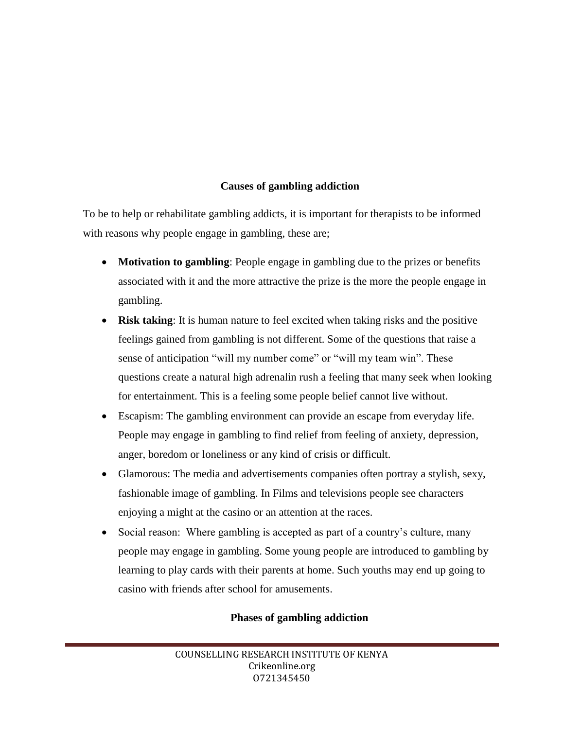### **Causes of gambling addiction**

To be to help or rehabilitate gambling addicts, it is important for therapists to be informed with reasons why people engage in gambling, these are;

- **Motivation to gambling**: People engage in gambling due to the prizes or benefits associated with it and the more attractive the prize is the more the people engage in gambling.
- **Risk taking**: It is human nature to feel excited when taking risks and the positive feelings gained from gambling is not different. Some of the questions that raise a sense of anticipation "will my number come" or "will my team win". These questions create a natural high adrenalin rush a feeling that many seek when looking for entertainment. This is a feeling some people belief cannot live without.
- Escapism: The gambling environment can provide an escape from everyday life. People may engage in gambling to find relief from feeling of anxiety, depression, anger, boredom or loneliness or any kind of crisis or difficult.
- Glamorous: The media and advertisements companies often portray a stylish, sexy, fashionable image of gambling. In Films and televisions people see characters enjoying a might at the casino or an attention at the races.
- Social reason: Where gambling is accepted as part of a country's culture, many people may engage in gambling. Some young people are introduced to gambling by learning to play cards with their parents at home. Such youths may end up going to casino with friends after school for amusements.

# **Phases of gambling addiction**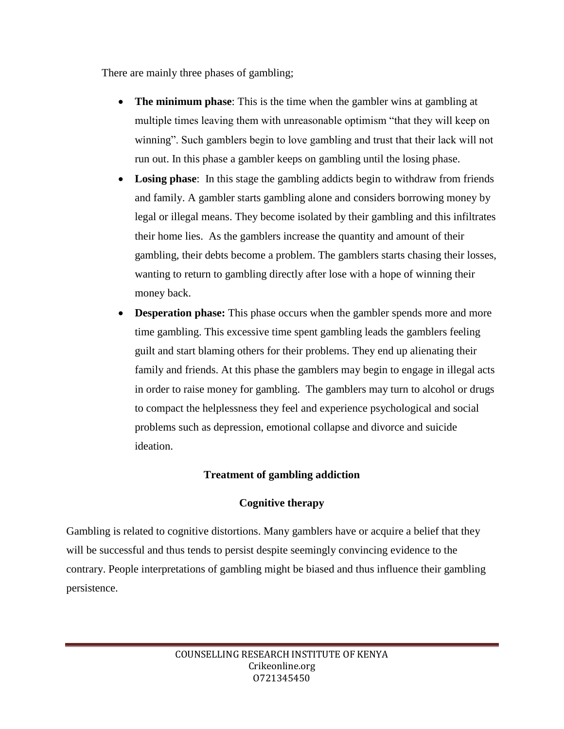There are mainly three phases of gambling;

- **The minimum phase**: This is the time when the gambler wins at gambling at multiple times leaving them with unreasonable optimism "that they will keep on winning". Such gamblers begin to love gambling and trust that their lack will not run out. In this phase a gambler keeps on gambling until the losing phase.
- **Losing phase**: In this stage the gambling addicts begin to withdraw from friends and family. A gambler starts gambling alone and considers borrowing money by legal or illegal means. They become isolated by their gambling and this infiltrates their home lies. As the gamblers increase the quantity and amount of their gambling, their debts become a problem. The gamblers starts chasing their losses, wanting to return to gambling directly after lose with a hope of winning their money back.
- **Desperation phase:** This phase occurs when the gambler spends more and more time gambling. This excessive time spent gambling leads the gamblers feeling guilt and start blaming others for their problems. They end up alienating their family and friends. At this phase the gamblers may begin to engage in illegal acts in order to raise money for gambling. The gamblers may turn to alcohol or drugs to compact the helplessness they feel and experience psychological and social problems such as depression, emotional collapse and divorce and suicide ideation.

### **Treatment of gambling addiction**

### **Cognitive therapy**

Gambling is related to cognitive distortions. Many gamblers have or acquire a belief that they will be successful and thus tends to persist despite seemingly convincing evidence to the contrary. People interpretations of gambling might be biased and thus influence their gambling persistence.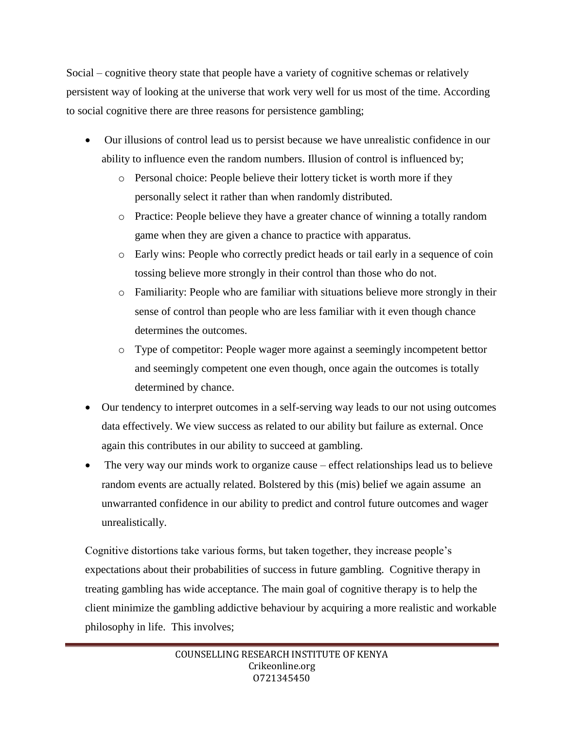Social – cognitive theory state that people have a variety of cognitive schemas or relatively persistent way of looking at the universe that work very well for us most of the time. According to social cognitive there are three reasons for persistence gambling;

- Our illusions of control lead us to persist because we have unrealistic confidence in our ability to influence even the random numbers. Illusion of control is influenced by;
	- o Personal choice: People believe their lottery ticket is worth more if they personally select it rather than when randomly distributed.
	- o Practice: People believe they have a greater chance of winning a totally random game when they are given a chance to practice with apparatus.
	- o Early wins: People who correctly predict heads or tail early in a sequence of coin tossing believe more strongly in their control than those who do not.
	- o Familiarity: People who are familiar with situations believe more strongly in their sense of control than people who are less familiar with it even though chance determines the outcomes.
	- o Type of competitor: People wager more against a seemingly incompetent bettor and seemingly competent one even though, once again the outcomes is totally determined by chance.
- Our tendency to interpret outcomes in a self-serving way leads to our not using outcomes data effectively. We view success as related to our ability but failure as external. Once again this contributes in our ability to succeed at gambling.
- The very way our minds work to organize cause effect relationships lead us to believe random events are actually related. Bolstered by this (mis) belief we again assume an unwarranted confidence in our ability to predict and control future outcomes and wager unrealistically.

Cognitive distortions take various forms, but taken together, they increase people's expectations about their probabilities of success in future gambling. Cognitive therapy in treating gambling has wide acceptance. The main goal of cognitive therapy is to help the client minimize the gambling addictive behaviour by acquiring a more realistic and workable philosophy in life. This involves;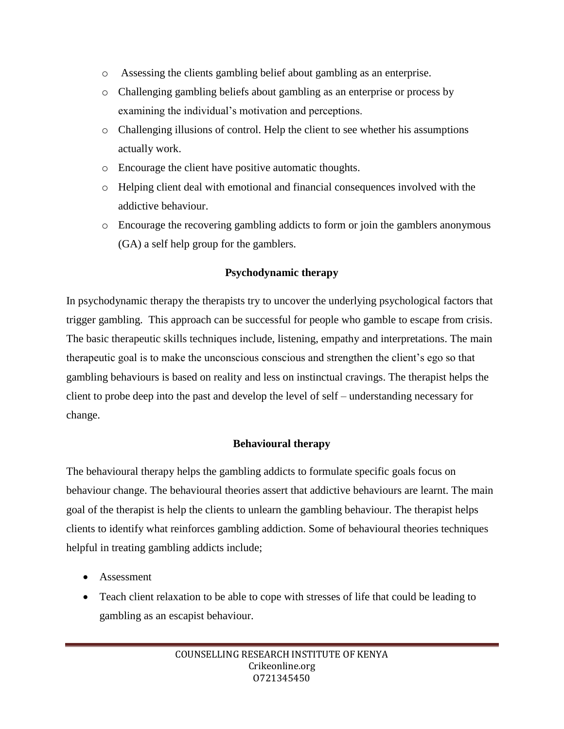- o Assessing the clients gambling belief about gambling as an enterprise.
- o Challenging gambling beliefs about gambling as an enterprise or process by examining the individual's motivation and perceptions.
- o Challenging illusions of control. Help the client to see whether his assumptions actually work.
- o Encourage the client have positive automatic thoughts.
- o Helping client deal with emotional and financial consequences involved with the addictive behaviour.
- o Encourage the recovering gambling addicts to form or join the gamblers anonymous (GA) a self help group for the gamblers.

### **Psychodynamic therapy**

In psychodynamic therapy the therapists try to uncover the underlying psychological factors that trigger gambling. This approach can be successful for people who gamble to escape from crisis. The basic therapeutic skills techniques include, listening, empathy and interpretations. The main therapeutic goal is to make the unconscious conscious and strengthen the client's ego so that gambling behaviours is based on reality and less on instinctual cravings. The therapist helps the client to probe deep into the past and develop the level of self – understanding necessary for change.

### **Behavioural therapy**

The behavioural therapy helps the gambling addicts to formulate specific goals focus on behaviour change. The behavioural theories assert that addictive behaviours are learnt. The main goal of the therapist is help the clients to unlearn the gambling behaviour. The therapist helps clients to identify what reinforces gambling addiction. Some of behavioural theories techniques helpful in treating gambling addicts include;

- Assessment
- Teach client relaxation to be able to cope with stresses of life that could be leading to gambling as an escapist behaviour.